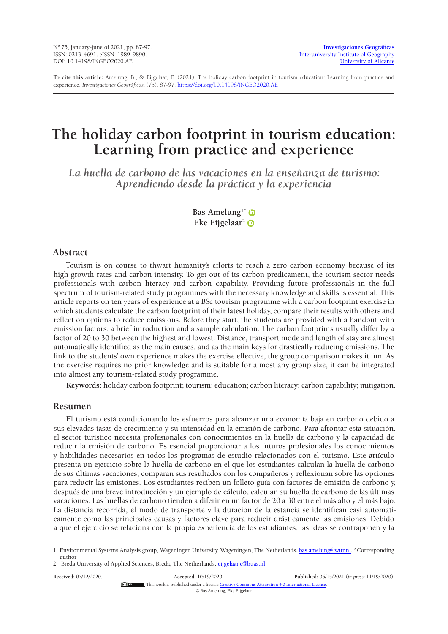**To cite this article:** Amelung, B., & Eijgelaar, E. (2021). The holiday carbon footprint in tourism education: Learning from practice and experience. *Investigaciones Geográficas,* (75), 87-97. <https://doi.org/10.14198/INGEO2020.AE>

# **The holiday carbon footprint in tourism education: Learning from practice and experience**

*La huella de carbono de las vacaciones en la enseñanza de turismo: Aprendiendo desde la práctica y la experiencia*

> Bas Amelung<sup>1\*</sup> **Eke Eijgelaar2**

# **Abstract**

Tourism is on course to thwart humanity's efforts to reach a zero carbon economy because of its high growth rates and carbon intensity. To get out of its carbon predicament, the tourism sector needs professionals with carbon literacy and carbon capability. Providing future professionals in the full spectrum of tourism-related study programmes with the necessary knowledge and skills is essential. This article reports on ten years of experience at a BSc tourism programme with a carbon footprint exercise in which students calculate the carbon footprint of their latest holiday, compare their results with others and reflect on options to reduce emissions. Before they start, the students are provided with a handout with emission factors, a brief introduction and a sample calculation. The carbon footprints usually differ by a factor of 20 to 30 between the highest and lowest. Distance, transport mode and length of stay are almost automatically identified as the main causes, and as the main keys for drastically reducing emissions. The link to the students' own experience makes the exercise effective, the group comparison makes it fun. As the exercise requires no prior knowledge and is suitable for almost any group size, it can be integrated into almost any tourism-related study programme.

**Keywords:** holiday carbon footprint; tourism; education; carbon literacy; carbon capability; mitigation.

# **Resumen**

El turismo está condicionando los esfuerzos para alcanzar una economía baja en carbono debido a sus elevadas tasas de crecimiento y su intensidad en la emisión de carbono. Para afrontar esta situación, el sector turístico necesita profesionales con conocimientos en la huella de carbono y la capacidad de reducir la emisión de carbono. Es esencial proporcionar a los futuros profesionales los conocimientos y habilidades necesarios en todos los programas de estudio relacionados con el turismo. Este artículo presenta un ejercicio sobre la huella de carbono en el que los estudiantes calculan la huella de carbono de sus últimas vacaciones, comparan sus resultados con los compañeros y reflexionan sobre las opciones para reducir las emisiones. Los estudiantes reciben un folleto guía con factores de emisión de carbono y, después de una breve introducción y un ejemplo de cálculo, calculan su huella de carbono de las últimas vacaciones. Las huellas de carbono tienden a diferir en un factor de 20 a 30 entre el más alto y el más bajo. La distancia recorrida, el modo de transporte y la duración de la estancia se identifican casi automáticamente como las principales causas y factores clave para reducir drásticamente las emisiones. Debido a que el ejercicio se relaciona con la propia experiencia de los estudiantes, las ideas se contraponen y la

**Received:** 07/12/2020. **Accepted:** 10/19/2020. **Published:** 06/15/2021 (*in press*: 11/19/2020). This work is published under a license [Creative Commons Attribution 4.0 International License](https://creativecommons.org/licenses/by/4.0/). © Bas Amelung, Eke Eijgelaar

<sup>1</sup> Environmental Systems Analysis group, Wageningen University, Wageningen, The Netherlands. [bas.amelung@wur.nl](mailto:bas.amelung@wur.nl). \*Corresponding author

<sup>2</sup> Breda University of Applied Sciences, Breda, The Netherlands. [eijgelaar.e@buas.nl](mailto:eijgelaar.e%40buas.nl?subject=)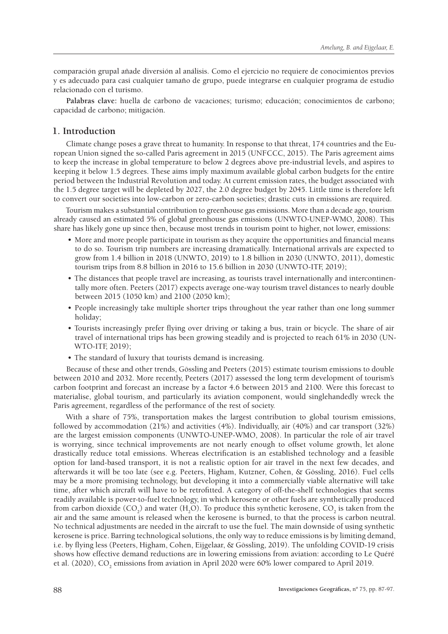comparación grupal añade diversión al análisis. Como el ejercicio no requiere de conocimientos previos y es adecuado para casi cualquier tamaño de grupo, puede integrarse en cualquier programa de estudio relacionado con el turismo.

**Palabras clave:** huella de carbono de vacaciones; turismo; educación; conocimientos de carbono; capacidad de carbono; mitigación.

# **1. Introduction**

Climate change poses a grave threat to humanity. In response to that threat, 174 countries and the European Union signed the so-called Paris agreement in 2015 (UNFCCC, 2015). The Paris agreement aims to keep the increase in global temperature to below 2 degrees above pre-industrial levels, and aspires to keeping it below 1.5 degrees. These aims imply maximum available global carbon budgets for the entire period between the Industrial Revolution and today. At current emission rates, the budget associated with the 1.5 degree target will be depleted by 2027, the 2.0 degree budget by 2045. Little time is therefore left to convert our societies into low-carbon or zero-carbon societies; drastic cuts in emissions are required.

Tourism makes a substantial contribution to greenhouse gas emissions. More than a decade ago, tourism already caused an estimated 5% of global greenhouse gas emissions (UNWTO-UNEP-WMO, 2008). This share has likely gone up since then, because most trends in tourism point to higher, not lower, emissions:

- More and more people participate in tourism as they acquire the opportunities and financial means to do so. Tourism trip numbers are increasing dramatically. International arrivals are expected to grow from 1.4 billion in 2018 (UNWTO, 2019) to 1.8 billion in 2030 (UNWTO, 2011), domestic tourism trips from 8.8 billion in 2016 to 15.6 billion in 2030 (UNWTO-ITF, 2019);
- The distances that people travel are increasing, as tourists travel internationally and intercontinentally more often. Peeters (2017) expects average one-way tourism travel distances to nearly double between 2015 (1050 km) and 2100 (2050 km);
- People increasingly take multiple shorter trips throughout the year rather than one long summer holiday;
- Tourists increasingly prefer flying over driving or taking a bus, train or bicycle. The share of air travel of international trips has been growing steadily and is projected to reach 61% in 2030 (UN-WTO-ITF, 2019);
- The standard of luxury that tourists demand is increasing.

Because of these and other trends, Gössling and Peeters (2015) estimate tourism emissions to double between 2010 and 2032. More recently, Peeters (2017) assessed the long term development of tourism's carbon footprint and forecast an increase by a factor 4.6 between 2015 and 2100. Were this forecast to materialise, global tourism, and particularly its aviation component, would singlehandedly wreck the Paris agreement, regardless of the performance of the rest of society.

With a share of 75%, transportation makes the largest contribution to global tourism emissions, followed by accommodation (21%) and activities (4%). Individually, air (40%) and car transport (32%) are the largest emission components (UNWTO-UNEP-WMO, 2008). In particular the role of air travel is worrying, since technical improvements are not nearly enough to offset volume growth, let alone drastically reduce total emissions. Whereas electrification is an established technology and a feasible option for land-based transport, it is not a realistic option for air travel in the next few decades, and afterwards it will be too late (see e.g. Peeters, Higham, Kutzner, Cohen, & Gössling, 2016). Fuel cells may be a more promising technology, but developing it into a commercially viable alternative will take time, after which aircraft will have to be retrofitted. A category of off-the-shelf technologies that seems readily available is power-to-fuel technology, in which kerosene or other fuels are synthetically produced from carbon dioxide (CO<sub>2</sub>) and water (H<sub>2</sub>O). To produce this synthetic kerosene, CO<sub>2</sub> is taken from the air and the same amount is released when the kerosene is burned, to that the process is carbon neutral. No technical adjustments are needed in the aircraft to use the fuel. The main downside of using synthetic kerosene is price. Barring technological solutions, the only way to reduce emissions is by limiting demand, i.e. by flying less (Peeters, Higham, Cohen, Eijgelaar, & Gössling, 2019). The unfolding COVID-19 crisis shows how effective demand reductions are in lowering emissions from aviation: according to Le Quéré et al. (2020), CO<sub>2</sub> emissions from aviation in April 2020 were 60% lower compared to April 2019.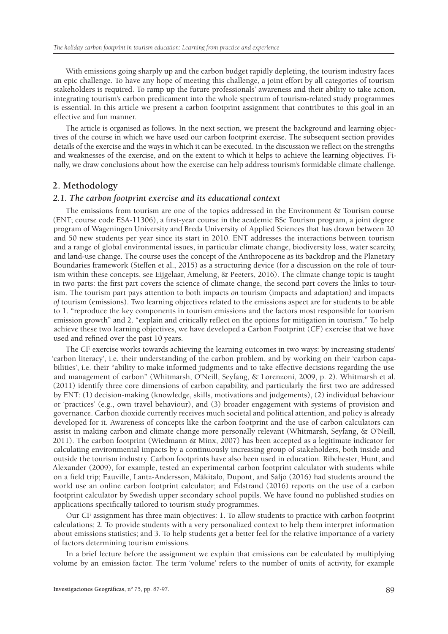With emissions going sharply up and the carbon budget rapidly depleting, the tourism industry faces an epic challenge. To have any hope of meeting this challenge, a joint effort by all categories of tourism stakeholders is required. To ramp up the future professionals' awareness and their ability to take action, integrating tourism's carbon predicament into the whole spectrum of tourism-related study programmes is essential. In this article we present a carbon footprint assignment that contributes to this goal in an effective and fun manner.

The article is organised as follows. In the next section, we present the background and learning objectives of the course in which we have used our carbon footprint exercise. The subsequent section provides details of the exercise and the ways in which it can be executed. In the discussion we reflect on the strengths and weaknesses of the exercise, and on the extent to which it helps to achieve the learning objectives. Finally, we draw conclusions about how the exercise can help address tourism's formidable climate challenge.

### **2. Methodology**

#### *2.1. The carbon footprint exercise and its educational context*

The emissions from tourism are one of the topics addressed in the Environment & Tourism course (ENT; course code ESA-11306), a first-year course in the academic BSc Tourism program, a joint degree program of Wageningen University and Breda University of Applied Sciences that has drawn between 20 and 50 new students per year since its start in 2010. ENT addresses the interactions between tourism and a range of global environmental issues, in particular climate change, biodiversity loss, water scarcity, and land-use change. The course uses the concept of the Anthropocene as its backdrop and the Planetary Boundaries framework (Steffen et al., 2015) as a structuring device (for a discussion on the role of tourism within these concepts, see Eijgelaar, Amelung, & Peeters, 2016). The climate change topic is taught in two parts: the first part covers the science of climate change, the second part covers the links to tourism. The tourism part pays attention to both impacts *on* tourism (impacts and adaptation) and impacts *of* tourism (emissions). Two learning objectives related to the emissions aspect are for students to be able to 1. "reproduce the key components in tourism emissions and the factors most responsible for tourism emission growth" and 2. "explain and critically reflect on the options for mitigation in tourism." To help achieve these two learning objectives, we have developed a Carbon Footprint (CF) exercise that we have used and refined over the past 10 years.

The CF exercise works towards achieving the learning outcomes in two ways: by increasing students' 'carbon literacy', i.e. their understanding of the carbon problem, and by working on their 'carbon capabilities', i.e. their "ability to make informed judgments and to take effective decisions regarding the use and management of carbon" (Whitmarsh, O'Neill, Seyfang, & Lorenzoni, 2009, p. 2). Whitmarsh et al. (2011) identify three core dimensions of carbon capability, and particularly the first two are addressed by ENT: (1) decision-making (knowledge, skills, motivations and judgements), (2) individual behaviour or 'practices' (e.g., own travel behaviour), and (3) broader engagement with systems of provision and governance. Carbon dioxide currently receives much societal and political attention, and policy is already developed for it. Awareness of concepts like the carbon footprint and the use of carbon calculators can assist in making carbon and climate change more personally relevant (Whitmarsh, Seyfang, & O'Neill, 2011). The carbon footprint (Wiedmann & Minx, 2007) has been accepted as a legitimate indicator for calculating environmental impacts by a continuously increasing group of stakeholders, both inside and outside the tourism industry. Carbon footprints have also been used in education. Ribchester, Hunt, and Alexander (2009), for example, tested an experimental carbon footprint calculator with students while on a field trip; Fauville, Lantz-Andersson, Mäkitalo, Dupont, and Säljö (2016) had students around the world use an online carbon footprint calculator; and Edstrand (2016) reports on the use of a carbon footprint calculator by Swedish upper secondary school pupils. We have found no published studies on applications specifically tailored to tourism study programmes.

Our CF assignment has three main objectives: 1. To allow students to practice with carbon footprint calculations; 2. To provide students with a very personalized context to help them interpret information about emissions statistics; and 3. To help students get a better feel for the relative importance of a variety of factors determining tourism emissions.

In a brief lecture before the assignment we explain that emissions can be calculated by multiplying volume by an emission factor. The term 'volume' refers to the number of units of activity, for example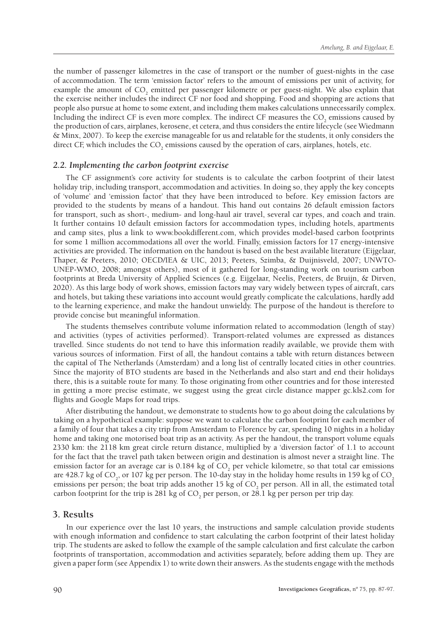the number of passenger kilometres in the case of transport or the number of guest-nights in the case of accommodation. The term 'emission factor' refers to the amount of emissions per unit of activity, for example the amount of CO<sub>2</sub> emitted per passenger kilometre or per guest-night. We also explain that the exercise neither includes the indirect CF nor food and shopping. Food and shopping are actions that people also pursue at home to some extent, and including them makes calculations unnecessarily complex. Including the indirect CF is even more complex. The indirect CF measures the  $CO_2$  emissions caused by the production of cars, airplanes, kerosene, et cetera, and thus considers the entire lifecycle (see Wiedmann & Minx, 2007). To keep the exercise manageable for us and relatable for the students, it only considers the direct CF, which includes the  $\mathrm{CO}_2$  emissions caused by the operation of cars, airplanes, hotels, etc.

#### *2.2. Implementing the carbon footprint exercise*

The CF assignment's core activity for students is to calculate the carbon footprint of their latest holiday trip, including transport, accommodation and activities. In doing so, they apply the key concepts of 'volume' and 'emission factor' that they have been introduced to before. Key emission factors are provided to the students by means of a handout. This hand out contains 26 default emission factors for transport, such as short-, medium- and long-haul air travel, several car types, and coach and train. It further contains 10 default emission factors for accommodation types, including hotels, apartments and camp sites, plus a link to www.bookdifferent.com, which provides model-based carbon footprints for some 1 million accommodations all over the world. Finally, emission factors for 17 energy-intensive activities are provided. The information on the handout is based on the best available literature (Eijgelaar, Thaper, & Peeters, 2010; OECD/IEA & UIC, 2013; Peeters, Szimba, & Duijnisveld, 2007; UNWTO-UNEP-WMO, 2008; amongst others), most of it gathered for long-standing work on tourism carbon footprints at Breda University of Applied Sciences (e.g. Eijgelaar, Neelis, Peeters, de Bruijn, & Dirven, 2020). As this large body of work shows, emission factors may vary widely between types of aircraft, cars and hotels, but taking these variations into account would greatly complicate the calculations, hardly add to the learning experience, and make the handout unwieldy. The purpose of the handout is therefore to provide concise but meaningful information.

The students themselves contribute volume information related to accommodation (length of stay) and activities (types of activities performed). Transport-related volumes are expressed as distances travelled. Since students do not tend to have this information readily available, we provide them with various sources of information. First of all, the handout contains a table with return distances between the capital of The Netherlands (Amsterdam) and a long list of centrally located cities in other countries. Since the majority of BTO students are based in the Netherlands and also start and end their holidays there, this is a suitable route for many. To those originating from other countries and for those interested in getting a more precise estimate, we suggest using the great circle distance mapper gc.kls2.com for flights and Google Maps for road trips.

After distributing the handout, we demonstrate to students how to go about doing the calculations by taking on a hypothetical example: suppose we want to calculate the carbon footprint for each member of a family of four that takes a city trip from Amsterdam to Florence by car, spending 10 nights in a holiday home and taking one motorised boat trip as an activity. As per the handout, the transport volume equals 2330 km: the 2118 km great circle return distance, multiplied by a 'diversion factor' of 1.1 to account for the fact that the travel path taken between origin and destination is almost never a straight line. The emission factor for an average car is 0.184 kg of  $\text{CO}_2$  per vehicle kilometre, so that total car emissions are 428.7 kg of CO<sub>2</sub>, or 107 kg per person. The 10-day stay in the holiday home results in 159 kg of CO<sub>2</sub> emissions per person; the boat trip adds another 15 kg of  $CO_2$  per person. All in all, the estimated total carbon footprint for the trip is 281 kg of  $\mathrm{CO}_2$  per person, or 28.1 kg per person per trip day.

#### **3. Results**

In our experience over the last 10 years, the instructions and sample calculation provide students with enough information and confidence to start calculating the carbon footprint of their latest holiday trip. The students are asked to follow the example of the sample calculation and first calculate the carbon footprints of transportation, accommodation and activities separately, before adding them up. They are given a paper form (see Appendix 1) to write down their answers. As the students engage with the methods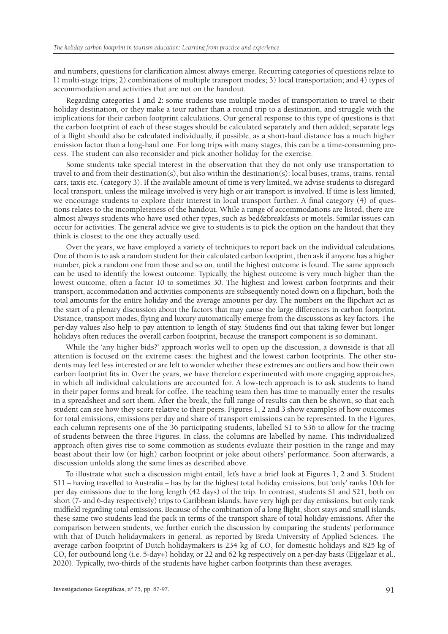and numbers, questions for clarification almost always emerge. Recurring categories of questions relate to 1) multi-stage trips; 2) combinations of multiple transport modes; 3) local transportation; and 4) types of accommodation and activities that are not on the handout.

Regarding categories 1 and 2: some students use multiple modes of transportation to travel to their holiday destination, or they make a tour rather than a round trip to a destination, and struggle with the implications for their carbon footprint calculations. Our general response to this type of questions is that the carbon footprint of each of these stages should be calculated separately and then added; separate legs of a flight should also be calculated individually, if possible, as a short-haul distance has a much higher emission factor than a long-haul one. For long trips with many stages, this can be a time-consuming process. The student can also reconsider and pick another holiday for the exercise.

Some students take special interest in the observation that they do not only use transportation to travel to and from their destination(s), but also within the destination(s): local buses, trams, trains, rental cars, taxis etc. (category 3). If the available amount of time is very limited, we advise students to disregard local transport, unless the mileage involved is very high or air transport is involved. If time is less limited, we encourage students to explore their interest in local transport further. A final category (4) of questions relates to the incompleteness of the handout. While a range of accommodations are listed, there are almost always students who have used other types, such as bed&breakfasts or motels. Similar issues can occur for activities. The general advice we give to students is to pick the option on the handout that they think is closest to the one they actually used.

Over the years, we have employed a variety of techniques to report back on the individual calculations. One of them is to ask a random student for their calculated carbon footprint, then ask if anyone has a higher number, pick a random one from those and so on, until the highest outcome is found. The same approach can be used to identify the lowest outcome. Typically, the highest outcome is very much higher than the lowest outcome, often a factor 10 to sometimes 30. The highest and lowest carbon footprints and their transport, accommodation and activities components are subsequently noted down on a flipchart, both the total amounts for the entire holiday and the average amounts per day. The numbers on the flipchart act as the start of a plenary discussion about the factors that may cause the large differences in carbon footprint. Distance, transport modes, flying and luxury automatically emerge from the discussions as key factors. The per-day values also help to pay attention to length of stay. Students find out that taking fewer but longer holidays often reduces the overall carbon footprint, because the transport component is so dominant.

While the 'any higher bids?' approach works well to open up the discussion, a downside is that all attention is focused on the extreme cases: the highest and the lowest carbon footprints. The other students may feel less interested or are left to wonder whether these extremes are outliers and how their own carbon footprint fits in. Over the years, we have therefore experimented with more engaging approaches, in which all individual calculations are accounted for. A low-tech approach is to ask students to hand in their paper forms and break for coffee. The teaching team then has time to manually enter the results in a spreadsheet and sort them. After the break, the full range of results can then be shown, so that each student can see how they score relative to their peers. Figures 1, 2 and 3 show examples of how outcomes for total emissions, emissions per day and share of transport emissions can be represented. In the Figures, each column represents one of the 36 participating students, labelled S1 to S36 to allow for the tracing of students between the three Figures. In class, the columns are labelled by name. This individualized approach often gives rise to some commotion as students evaluate their position in the range and may boast about their low (or high) carbon footprint or joke about others' performance. Soon afterwards, a discussion unfolds along the same lines as described above.

To illustrate what such a discussion might entail, let's have a brief look at Figures 1, 2 and 3. Student S11 – having travelled to Australia – has by far the highest total holiday emissions, but 'only' ranks 10th for per day emissions due to the long length (42 days) of the trip. In contrast, students S1 and S21, both on short (7- and 6-day respectively) trips to Caribbean islands, have very high per day emissions, but only rank midfield regarding total emissions. Because of the combination of a long flight, short stays and small islands, these same two students lead the pack in terms of the transport share of total holiday emissions. After the comparison between students, we further enrich the discussion by comparing the students' performance with that of Dutch holidaymakers in general, as reported by Breda University of Applied Sciences. The average carbon footprint of Dutch holidaymakers is 234 kg of  $CO_2$  for domestic holidays and 825 kg of  $CO_2$  for outbound long (i.e. 5-day+) holiday, or 22 and 62 kg respectively on a per-day basis (Eijgelaar et al., 2020). Typically, two-thirds of the students have higher carbon footprints than these averages.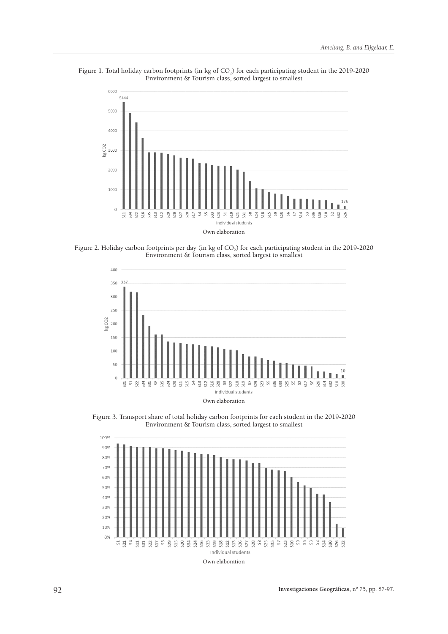

Figure 1. Total holiday carbon footprints (in kg of  $CO<sub>2</sub>$ ) for each participating student in the 2019-2020 Environment & Tourism class, sorted largest to smallest

Figure 2. Holiday carbon footprints per day (in kg of CO<sub>2</sub>) for each participating student in the 2019-2020 Environment & Tourism class, sorted largest to smallest



Figure 3. Transport share of total holiday carbon footprints for each student in the 2019-2020 Environment & Tourism class, sorted largest to smallest

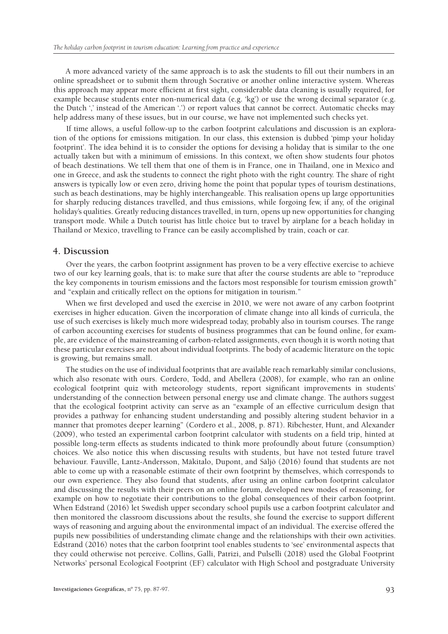A more advanced variety of the same approach is to ask the students to fill out their numbers in an online spreadsheet or to submit them through Socrative or another online interactive system. Whereas this approach may appear more efficient at first sight, considerable data cleaning is usually required, for example because students enter non-numerical data (e.g. 'kg') or use the wrong decimal separator (e.g. the Dutch ',' instead of the American '.') or report values that cannot be correct. Automatic checks may help address many of these issues, but in our course, we have not implemented such checks yet.

If time allows, a useful follow-up to the carbon footprint calculations and discussion is an exploration of the options for emissions mitigation. In our class, this extension is dubbed 'pimp your holiday footprint'. The idea behind it is to consider the options for devising a holiday that is similar to the one actually taken but with a minimum of emissions. In this context, we often show students four photos of beach destinations. We tell them that one of them is in France, one in Thailand, one in Mexico and one in Greece, and ask the students to connect the right photo with the right country. The share of right answers is typically low or even zero, driving home the point that popular types of tourism destinations, such as beach destinations, may be highly interchangeable. This realisation opens up large opportunities for sharply reducing distances travelled, and thus emissions, while forgoing few, if any, of the original holiday's qualities. Greatly reducing distances travelled, in turn, opens up new opportunities for changing transport mode. While a Dutch tourist has little choice but to travel by airplane for a beach holiday in Thailand or Mexico, travelling to France can be easily accomplished by train, coach or car.

#### **4. Discussion**

Over the years, the carbon footprint assignment has proven to be a very effective exercise to achieve two of our key learning goals, that is: to make sure that after the course students are able to "reproduce the key components in tourism emissions and the factors most responsible for tourism emission growth" and "explain and critically reflect on the options for mitigation in tourism."

When we first developed and used the exercise in 2010, we were not aware of any carbon footprint exercises in higher education. Given the incorporation of climate change into all kinds of curricula, the use of such exercises is likely much more widespread today, probably also in tourism courses. The range of carbon accounting exercises for students of business programmes that can be found online, for example, are evidence of the mainstreaming of carbon-related assignments, even though it is worth noting that these particular exercises are not about individual footprints. The body of academic literature on the topic is growing, but remains small.

The studies on the use of individual footprints that are available reach remarkably similar conclusions, which also resonate with ours. Cordero, Todd, and Abellera (2008), for example, who ran an online ecological footprint quiz with meteorology students, report significant improvements in students' understanding of the connection between personal energy use and climate change. The authors suggest that the ecological footprint activity can serve as an "example of an effective curriculum design that provides a pathway for enhancing student understanding and possibly altering student behavior in a manner that promotes deeper learning" (Cordero et al., 2008, p. 871). Ribchester, Hunt, and Alexander (2009), who tested an experimental carbon footprint calculator with students on a field trip, hinted at possible long-term effects as students indicated to think more profoundly about future (consumption) choices. We also notice this when discussing results with students, but have not tested future travel behaviour. Fauville, Lantz-Andersson, Mäkitalo, Dupont, and Säljö (2016) found that students are not able to come up with a reasonable estimate of their own footprint by themselves, which corresponds to our own experience. They also found that students, after using an online carbon footprint calculator and discussing the results with their peers on an online forum, developed new modes of reasoning, for example on how to negotiate their contributions to the global consequences of their carbon footprint. When Edstrand (2016) let Swedish upper secondary school pupils use a carbon footprint calculator and then monitored the classroom discussions about the results, she found the exercise to support different ways of reasoning and arguing about the environmental impact of an individual. The exercise offered the pupils new possibilities of understanding climate change and the relationships with their own activities. Edstrand (2016) notes that the carbon footprint tool enables students to 'see' environmental aspects that they could otherwise not perceive. Collins, Galli, Patrizi, and Pulselli (2018) used the Global Footprint Networks' personal Ecological Footprint (EF) calculator with High School and postgraduate University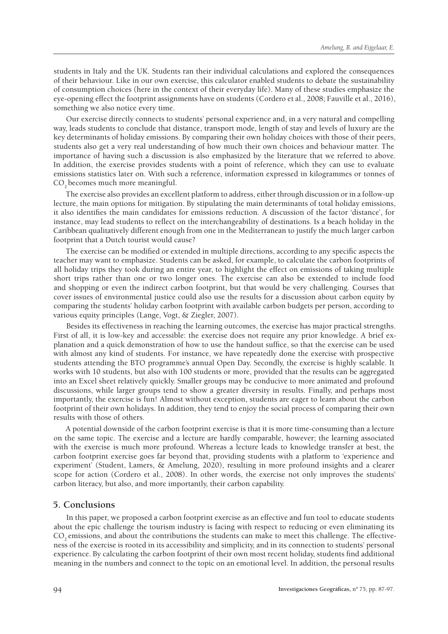students in Italy and the UK. Students ran their individual calculations and explored the consequences of their behaviour. Like in our own exercise, this calculator enabled students to debate the sustainability of consumption choices (here in the context of their everyday life). Many of these studies emphasize the eye-opening effect the footprint assignments have on students (Cordero et al., 2008; Fauville et al., 2016), something we also notice every time.

Our exercise directly connects to students' personal experience and, in a very natural and compelling way, leads students to conclude that distance, transport mode, length of stay and levels of luxury are the key determinants of holiday emissions. By comparing their own holiday choices with those of their peers, students also get a very real understanding of how much their own choices and behaviour matter. The importance of having such a discussion is also emphasized by the literature that we referred to above. In addition, the exercise provides students with a point of reference, which they can use to evaluate emissions statistics later on. With such a reference, information expressed in kilogrammes or tonnes of CO<sub>2</sub> becomes much more meaningful.

The exercise also provides an excellent platform to address, either through discussion or in a follow-up lecture, the main options for mitigation. By stipulating the main determinants of total holiday emissions, it also identifies the main candidates for emissions reduction. A discussion of the factor 'distance', for instance, may lead students to reflect on the interchangeability of destinations. Is a beach holiday in the Caribbean qualitatively different enough from one in the Mediterranean to justify the much larger carbon footprint that a Dutch tourist would cause?

The exercise can be modified or extended in multiple directions, according to any specific aspects the teacher may want to emphasize. Students can be asked, for example, to calculate the carbon footprints of all holiday trips they took during an entire year, to highlight the effect on emissions of taking multiple short trips rather than one or two longer ones. The exercise can also be extended to include food and shopping or even the indirect carbon footprint, but that would be very challenging. Courses that cover issues of environmental justice could also use the results for a discussion about carbon equity by comparing the students' holiday carbon footprint with available carbon budgets per person, according to various equity principles (Lange, Vogt, & Ziegler, 2007).

Besides its effectiveness in reaching the learning outcomes, the exercise has major practical strengths. First of all, it is low-key and accessible: the exercise does not require any prior knowledge. A brief explanation and a quick demonstration of how to use the handout suffice, so that the exercise can be used with almost any kind of students. For instance, we have repeatedly done the exercise with prospective students attending the BTO programme's annual Open Day. Secondly, the exercise is highly scalable. It works with 10 students, but also with 100 students or more, provided that the results can be aggregated into an Excel sheet relatively quickly. Smaller groups may be conducive to more animated and profound discussions, while larger groups tend to show a greater diversity in results. Finally, and perhaps most importantly, the exercise is fun! Almost without exception, students are eager to learn about the carbon footprint of their own holidays. In addition, they tend to enjoy the social process of comparing their own results with those of others.

A potential downside of the carbon footprint exercise is that it is more time-consuming than a lecture on the same topic. The exercise and a lecture are hardly comparable, however; the learning associated with the exercise is much more profound. Whereas a lecture leads to knowledge transfer at best, the carbon footprint exercise goes far beyond that, providing students with a platform to 'experience and experiment' (Student, Lamers, & Amelung, 2020), resulting in more profound insights and a clearer scope for action (Cordero et al., 2008). In other words, the exercise not only improves the students' carbon literacy, but also, and more importantly, their carbon capability.

#### **5. Conclusions**

In this paper, we proposed a carbon footprint exercise as an effective and fun tool to educate students about the epic challenge the tourism industry is facing with respect to reducing or even eliminating its CO<sub>2</sub> emissions, and about the contributions the students can make to meet this challenge. The effectiveness of the exercise is rooted in its accessibility and simplicity, and in its connection to students' personal experience. By calculating the carbon footprint of their own most recent holiday, students find additional meaning in the numbers and connect to the topic on an emotional level. In addition, the personal results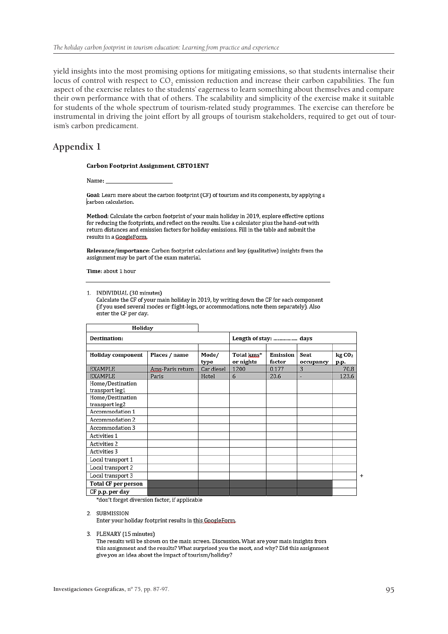yield insights into the most promising options for mitigating emissions, so that students internalise their locus of control with respect to  $CO_2$  emission reduction and increase their carbon capabilities. The fun aspect of the exercise relates to the students' eagerness to learn something about themselves and compare their own performance with that of others. The scalability and simplicity of the exercise make it suitable for students of the whole spectrum of tourism-related study programmes. The exercise can therefore be instrumental in driving the joint effort by all groups of tourism stakeholders, required to get out of tourism's carbon predicament.

# **Appendix 1**

#### **Carbon Footprint Assignment, CBTO1ENT**

Name:

Goal: Learn more about the carbon footprint (CF) of tourism and its components, by applying a carbon calculation.

Method: Calculate the carbon footprint of your main holiday in 2019, explore effective options for reducing the footprints, and reflect on the results. Use a calculator plus the hand-out with return distances and emission factors for holiday emissions. Fill in the table and submit the results in a GoogleForm.

Relevance/importance: Carbon footprint calculations and key (qualitative) insights from the assignment may be part of the exam material.

Time: about 1 hour

1. INDIVIDUAL (30 minutes)

Calculate the CF of your main holiday in 2019, by writing down the CF for each component (if you used several modes or flight-legs, or accommodations, note them separately). Also enter the CF per day.

| Holiday                            |                  |               |                         |                    |                   |                           |
|------------------------------------|------------------|---------------|-------------------------|--------------------|-------------------|---------------------------|
| Destination:                       |                  |               | Length of stay:  days   |                    |                   |                           |
| Holiday component                  | Places / name    | Mode/<br>type | Total kms*<br>or nights | Emission<br>factor | Seat<br>occupancy | kgCO <sub>2</sub><br>р.р. |
| <b>EXAMPLE</b>                     | Ams-Paris return | Car diesel    | 1200                    | 0.177              | 3                 | 70.8                      |
| <b>EXAMPLE</b>                     | Paris            | Hotel         | 6                       | 20.6               | ۰                 | 123.6                     |
| Home/Destination<br>transport leg1 |                  |               |                         |                    |                   |                           |
| Home/Destination<br>transport leg2 |                  |               |                         |                    |                   |                           |
| Accommodation 1                    |                  |               |                         |                    |                   |                           |
| Accommodation 2                    |                  |               |                         |                    |                   |                           |
| Accommodation 3                    |                  |               |                         |                    |                   |                           |
| Activities 1                       |                  |               |                         |                    |                   |                           |
| Activities 2                       |                  |               |                         |                    |                   |                           |
| Activities 3                       |                  |               |                         |                    |                   |                           |
| Local transport 1                  |                  |               |                         |                    |                   |                           |
| Local transport 2                  |                  |               |                         |                    |                   |                           |
| Local transport 3                  |                  |               |                         |                    |                   |                           |
| Total CF per person                |                  |               |                         |                    |                   |                           |
| CF p.p. per day                    |                  |               |                         |                    |                   |                           |

\*don't forget diversion factor, if applicable

2. SUBMISSION

Enter your holiday footprint results in this GoogleForm.

3. PLENARY (15 minutes)

The results will be shown on the main screen. Discussion. What are your main insights from this assignment and the results? What surprised you the most, and why? Did this assignment give you an idea about the impact of tourism/holiday?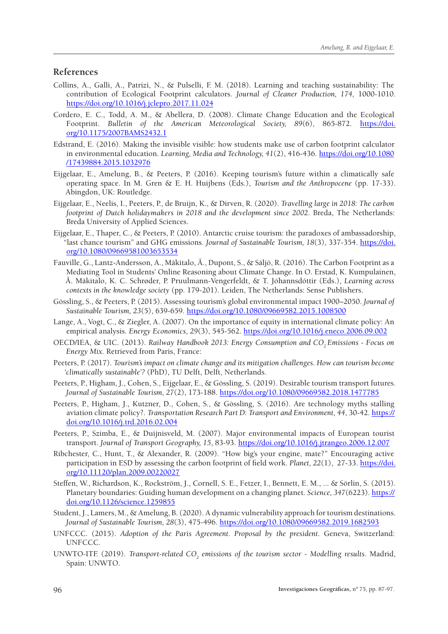# **References**

- Collins, A., Galli, A., Patrizi, N., & Pulselli, F. M. (2018). Learning and teaching sustainability: The contribution of Ecological Footprint calculators. *Journal of Cleaner Production, 174,* 1000-1010. <https://doi.org/10.1016/j.jclepro.2017.11.024>
- Cordero, E. C., Todd, A. M., & Abellera, D. (2008). Climate Change Education and the Ecological Footprint. *Bulletin of the American Meteorological Society, 89*(6), 865-872. [https://doi.](https://doi.org/10.1175/2007BAMS2432.1) [org/10.1175/2007BAMS2432.1](https://doi.org/10.1175/2007BAMS2432.1)
- Edstrand, E. (2016). Making the invisible visible: how students make use of carbon footprint calculator in environmental education. *Learning, Media and Technology, 41*(2), 416-436. [https://doi.org/10.1080](https://doi.org/10.1080/17439884.2015.1032976) [/17439884.2015.1032976](https://doi.org/10.1080/17439884.2015.1032976)
- Eijgelaar, E., Amelung, B., & Peeters, P. (2016). Keeping tourism's future within a climatically safe operating space. In M. Gren & E. H. Huijbens (Eds.), *Tourism and the Anthropocene* (pp. 17-33). Abingdon, UK: Routledge.
- Eijgelaar, E., Neelis, I., Peeters, P., de Bruijn, K., & Dirven, R. (2020). *Travelling large in 2018: The carbon footprint of Dutch holidaymakers in 2018 and the development since 2002*. Breda, The Netherlands: Breda University of Applied Sciences.
- Eijgelaar, E., Thaper, C., & Peeters, P. (2010). Antarctic cruise tourism: the paradoxes of ambassadorship, "last chance tourism" and GHG emissions. *Journal of Sustainable Tourism, 18*(3), 337-354. [https://doi.](https://doi.org/10.1080/09669581003653534) [org/10.1080/09669581003653534](https://doi.org/10.1080/09669581003653534)
- Fauville, G., Lantz-Andersson, A., Mäkitalo, Å., Dupont, S., & Säljö, R. (2016). The Carbon Footprint as a Mediating Tool in Students' Online Reasoning about Climate Change. In O. Erstad, K. Kumpulainen, Å. Mäkitalo, K. C. Schrøder, P. Pruulmann-Vengerfeldt, & T. Jóhannsdóttir (Eds.), *Learning across contexts in the knowledge society* (pp. 179-201). Leiden, The Netherlands: Sense Publishers.
- Gössling, S., & Peeters, P. (2015). Assessing tourism's global environmental impact 1900–2050. *Journal of Sustainable Tourism, 23*(5), 639-659.<https://doi.org/10.1080/09669582.2015.1008500>
- Lange, A., Vogt, C., & Ziegler, A. (2007). On the importance of equity in international climate policy: An empirical analysis. *Energy Economics*, *29*(3), 545-562. <https://doi.org/10.1016/j.eneco.2006.09.002>
- OECD/IEA, & UIC. (2013). *Railway Handbook 2013: Energy Consumption and CO<sub>2</sub> Emissions Focus on Energy Mix*. Retrieved from Paris, France:
- Peeters, P. (2017). *Tourism's impact on climate change and its mitigation challenges. How can tourism become 'climatically sustainable'?* (PhD), TU Delft, Delft, Netherlands.
- Peeters, P., Higham, J., Cohen, S., Eijgelaar, E., & Gössling, S. (2019). Desirable tourism transport futures. *Journal of Sustainable Tourism, 27*(2), 173-188. <https://doi.org/10.1080/09669582.2018.1477785>
- Peeters, P., Higham, J., Kutzner, D., Cohen, S., & Gössling, S. (2016). Are technology myths stalling aviation climate policy?. *Transportation Research Part D: Transport and Environment, 44*, 30-42. [https://](https://doi.org/10.1016/j.trd.2016.02.004) [doi.org/10.1016/j.trd.2016.02.004](https://doi.org/10.1016/j.trd.2016.02.004)
- Peeters, P., Szimba, E., & Duijnisveld, M. (2007). Major environmental impacts of European tourist transport. *Journal of Transport Geography, 15*, 83-93. <https://doi.org/10.1016/j.jtrangeo.2006.12.007>
- Ribchester, C., Hunt, T., & Alexander, R. (2009). "How big's your engine, mate?" Encouraging active participation in ESD by assessing the carbon footprint of field work. *Planet, 22*(1), 27-33. [https://doi.](https://doi.org/10.11120/plan.2009.00220027) [org/10.11120/plan.2009.00220027](https://doi.org/10.11120/plan.2009.00220027)
- Steffen, W., Richardson, K., Rockström, J., Cornell, S. E., Fetzer, I., Bennett, E. M., ... & Sörlin, S. (2015). Planetary boundaries: Guiding human development on a changing planet. *Science, 347*(6223). [https://](https://doi.org/10.1126/science.1259855) [doi.org/10.1126/science.1259855](https://doi.org/10.1126/science.1259855)
- Student, J., Lamers, M., & Amelung, B. (2020). A dynamic vulnerability approach for tourism destinations. Journal of Sustainable Tourism, 28(3), 475-496. <https://doi.org/10.1080/09669582.2019.1682593>
- UNFCCC. (2015). *Adoption of the Paris Agreement. Proposal by the president*. Geneva, Switzerland: UNFCCC.
- UNWTO-ITF. (2019). *Transport-related CO<sub>2</sub> emissions of the tourism sector Modelling results*. Madrid, Spain: UNWTO.